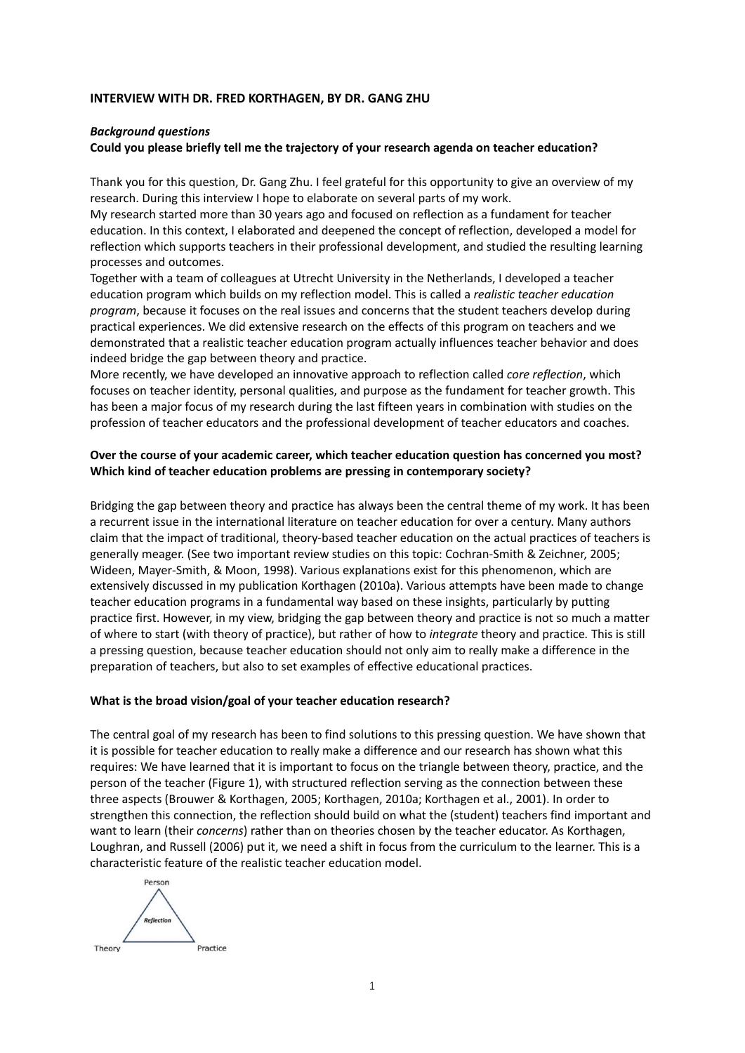#### **INTERVIEW WITH DR. FRED KORTHAGEN, BY DR. GANG ZHU**

#### *Background questions*

## **Could you please briefly tell me the trajectory of your research agenda on teacher education?**

Thank you for this question, Dr. Gang Zhu. I feel grateful for this opportunity to give an overview of my research. During this interview I hope to elaborate on several parts of my work.

My research started more than 30 years ago and focused on reflection as a fundament for teacher education. In this context, I elaborated and deepened the concept of reflection, developed a model for reflection which supports teachers in their professional development, and studied the resulting learning processes and outcomes.

Together with a team of colleagues at Utrecht University in the Netherlands, I developed a teacher education program which builds on my reflection model. This is called a *realistic teacher education program*, because it focuses on the real issues and concerns that the student teachers develop during practical experiences. We did extensive research on the effects of this program on teachers and we demonstrated that a realistic teacher education program actually influences teacher behavior and does indeed bridge the gap between theory and practice.

More recently, we have developed an innovative approach to reflection called *core reflection*, which focuses on teacher identity, personal qualities, and purpose as the fundament for teacher growth. This has been a major focus of my research during the last fifteen years in combination with studies on the profession of teacher educators and the professional development of teacher educators and coaches.

# **Over the course of your academic career, which teacher education question has concerned you most? Which kind of teacher education problems are pressing in contemporary society?**

Bridging the gap between theory and practice has always been the central theme of my work. It has been a recurrent issue in the international literature on teacher education for over a century. Many authors claim that the impact of traditional, theory-based teacher education on the actual practices of teachers is generally meager. (See two important review studies on this topic: Cochran-Smith & Zeichner, 2005; Wideen, Mayer-Smith, & Moon, 1998). Various explanations exist for this phenomenon, which are extensively discussed in my publication Korthagen (2010a). Various attempts have been made to change teacher education programs in a fundamental way based on these insights, particularly by putting practice first. However, in my view, bridging the gap between theory and practice is not so much a matter of where to start (with theory of practice), but rather of how to *integrate* theory and practice*.* This is still a pressing question, because teacher education should not only aim to really make a difference in the preparation of teachers, but also to set examples of effective educational practices.

## **What is the broad vision/goal of your teacher education research?**

The central goal of my research has been to find solutions to this pressing question. We have shown that it is possible for teacher education to really make a difference and our research has shown what this requires: We have learned that it is important to focus on the triangle between theory, practice, and the person of the teacher (Figure 1), with structured reflection serving as the connection between these three aspects (Brouwer & Korthagen, 2005; Korthagen, 2010a; Korthagen et al., 2001). In order to strengthen this connection, the reflection should build on what the (student) teachers find important and want to learn (their *concerns*) rather than on theories chosen by the teacher educator. As Korthagen, Loughran, and Russell (2006) put it, we need a shift in focus from the curriculum to the learner. This is a characteristic feature of the realistic teacher education model.

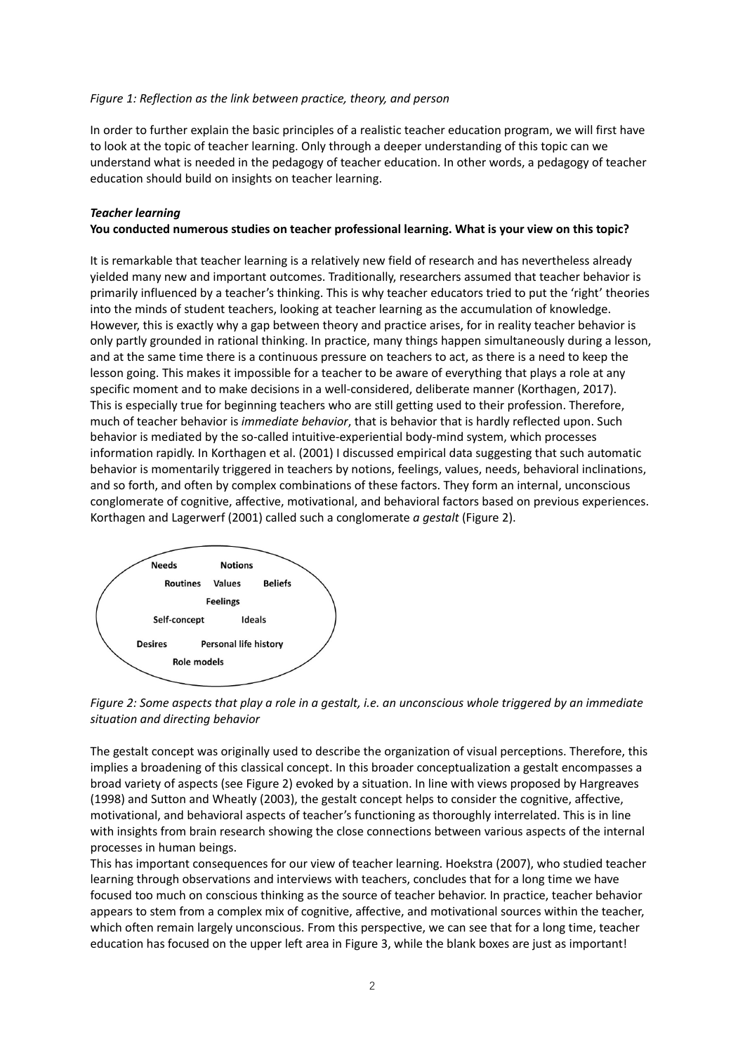#### *Figure 1: Reflection as the link between practice, theory, and person*

In order to further explain the basic principles of a realistic teacher education program, we will first have to look at the topic of teacher learning. Only through a deeper understanding of this topic can we understand what is needed in the pedagogy of teacher education. In other words, a pedagogy of teacher education should build on insights on teacher learning.

### *Teacher learning*

### **You conducted numerous studies on teacher professional learning. What is your view on this topic?**

It is remarkable that teacher learning is a relatively new field of research and has nevertheless already yielded many new and important outcomes. Traditionally, researchers assumed that teacher behavior is primarily influenced by a teacher's thinking. This is why teacher educators tried to put the 'right' theories into the minds of student teachers, looking at teacher learning as the accumulation of knowledge. However, this is exactly why a gap between theory and practice arises, for in reality teacher behavior is only partly grounded in rational thinking. In practice, many things happen simultaneously during a lesson, and at the same time there is a continuous pressure on teachers to act, as there is a need to keep the lesson going. This makes it impossible for a teacher to be aware of everything that plays a role at any specific moment and to make decisions in a well-considered, deliberate manner (Korthagen, 2017). This is especially true for beginning teachers who are still getting used to their profession. Therefore, much of teacher behavior is *immediate behavior*, that is behavior that is hardly reflected upon. Such behavior is mediated by the so-called intuitive-experiential body-mind system, which processes information rapidly. In Korthagen et al. (2001) I discussed empirical data suggesting that such automatic behavior is momentarily triggered in teachers by notions, feelings, values, needs, behavioral inclinations, and so forth, and often by complex combinations of these factors. They form an internal, unconscious conglomerate of cognitive, affective, motivational, and behavioral factors based on previous experiences. Korthagen and Lagerwerf (2001) called such a conglomerate *a gestalt* (Figure 2).





The gestalt concept was originally used to describe the organization of visual perceptions. Therefore, this implies a broadening of this classical concept. In this broader conceptualization a gestalt encompasses a broad variety of aspects (see Figure 2) evoked by a situation. In line with views proposed by Hargreaves (1998) and Sutton and Wheatly (2003), the gestalt concept helps to consider the cognitive, affective, motivational, and behavioral aspects of teacher's functioning as thoroughly interrelated. This is in line with insights from brain research showing the close connections between various aspects of the internal processes in human beings.

This has important consequences for our view of teacher learning. Hoekstra (2007), who studied teacher learning through observations and interviews with teachers, concludes that for a long time we have focused too much on conscious thinking as the source of teacher behavior. In practice, teacher behavior appears to stem from a complex mix of cognitive, affective, and motivational sources within the teacher, which often remain largely unconscious. From this perspective, we can see that for a long time, teacher education has focused on the upper left area in Figure 3, while the blank boxes are just as important!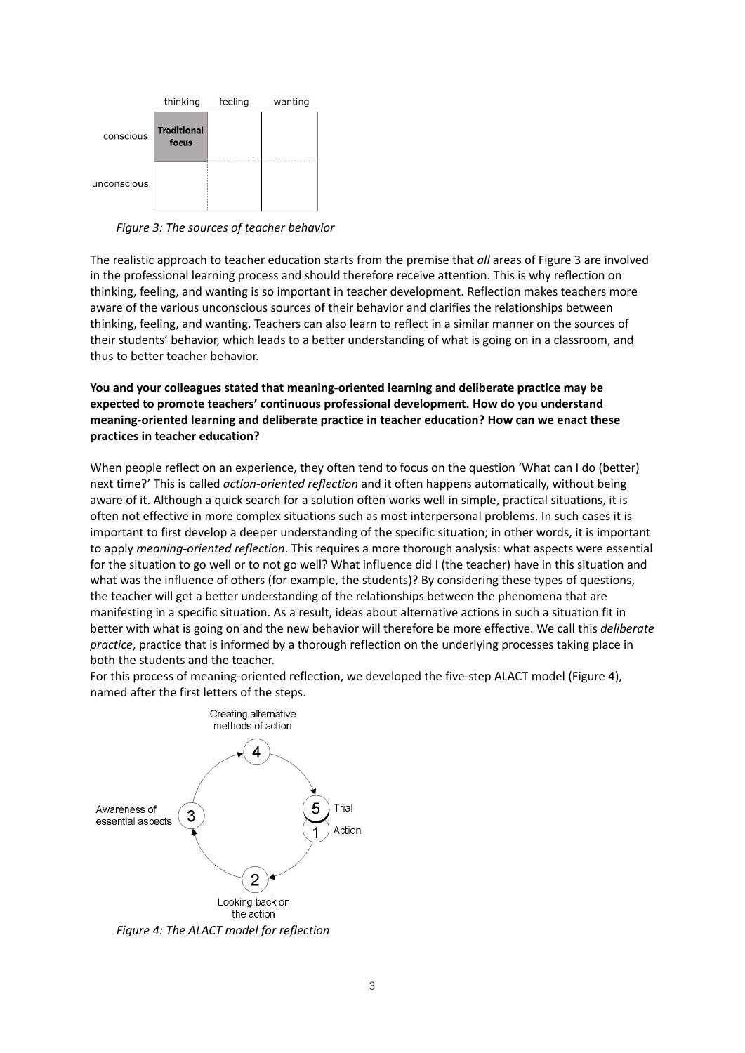

*Figure 3: The sources of teacher behavior* 

The realistic approach to teacher education starts from the premise that *all* areas of Figure 3 are involved in the professional learning process and should therefore receive attention. This is why reflection on thinking, feeling, and wanting is so important in teacher development. Reflection makes teachers more aware of the various unconscious sources of their behavior and clarifies the relationships between thinking, feeling, and wanting. Teachers can also learn to reflect in a similar manner on the sources of their students' behavior, which leads to a better understanding of what is going on in a classroom, and thus to better teacher behavior.

**You and your colleagues stated that meaning-oriented learning and deliberate practice may be expected to promote teachers' continuous professional development. How do you understand meaning-oriented learning and deliberate practice in teacher education? How can we enact these practices in teacher education?**

When people reflect on an experience, they often tend to focus on the question 'What can I do (better) next time?' This is called *action-oriented reflection* and it often happens automatically, without being aware of it. Although a quick search for a solution often works well in simple, practical situations, it is often not effective in more complex situations such as most interpersonal problems. In such cases it is important to first develop a deeper understanding of the specific situation; in other words, it is important to apply *meaning-oriented reflection*. This requires a more thorough analysis: what aspects were essential for the situation to go well or to not go well? What influence did I (the teacher) have in this situation and what was the influence of others (for example, the students)? By considering these types of questions, the teacher will get a better understanding of the relationships between the phenomena that are manifesting in a specific situation. As a result, ideas about alternative actions in such a situation fit in better with what is going on and the new behavior will therefore be more effective. We call this *deliberate practice*, practice that is informed by a thorough reflection on the underlying processes taking place in both the students and the teacher.

For this process of meaning-oriented reflection, we developed the five-step ALACT model (Figure 4), named after the first letters of the steps.



*Figure 4: The ALACT model for reflection*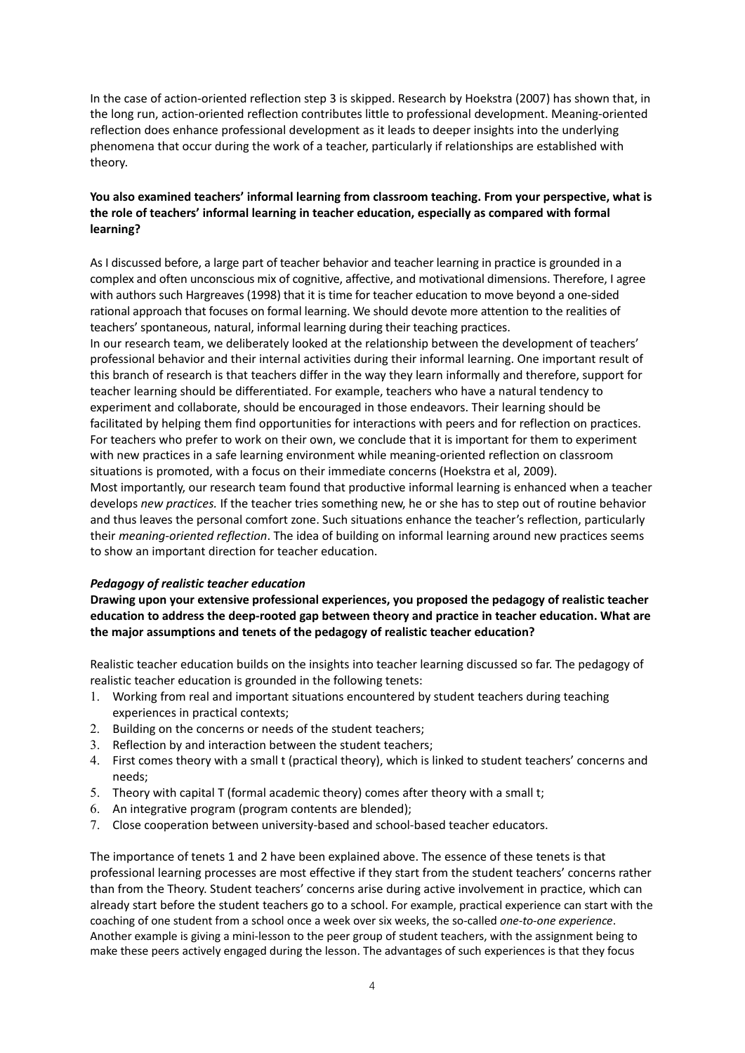In the case of action-oriented reflection step 3 is skipped. Research by Hoekstra (2007) has shown that, in the long run, action-oriented reflection contributes little to professional development. Meaning-oriented reflection does enhance professional development as it leads to deeper insights into the underlying phenomena that occur during the work of a teacher, particularly if relationships are established with theory.

# **You also examined teachers' informal learning from classroom teaching. From your perspective, what is the role of teachers' informal learning in teacher education, especially as compared with formal learning?**

As I discussed before, a large part of teacher behavior and teacher learning in practice is grounded in a complex and often unconscious mix of cognitive, affective, and motivational dimensions. Therefore, I agree with authors such Hargreaves (1998) that it is time for teacher education to move beyond a one-sided rational approach that focuses on formal learning. We should devote more attention to the realities of teachers' spontaneous, natural, informal learning during their teaching practices.

In our research team, we deliberately looked at the relationship between the development of teachers' professional behavior and their internal activities during their informal learning. One important result of this branch of research is that teachers differ in the way they learn informally and therefore, support for teacher learning should be differentiated. For example, teachers who have a natural tendency to experiment and collaborate, should be encouraged in those endeavors. Their learning should be facilitated by helping them find opportunities for interactions with peers and for reflection on practices. For teachers who prefer to work on their own, we conclude that it is important for them to experiment with new practices in a safe learning environment while meaning-oriented reflection on classroom situations is promoted, with a focus on their immediate concerns (Hoekstra et al, 2009).

Most importantly, our research team found that productive informal learning is enhanced when a teacher develops *new practices.* If the teacher tries something new, he or she has to step out of routine behavior and thus leaves the personal comfort zone. Such situations enhance the teacher's reflection, particularly their *meaning-oriented reflection*. The idea of building on informal learning around new practices seems to show an important direction for teacher education.

## *Pedagogy of realistic teacher education*

**Drawing upon your extensive professional experiences, you proposed the pedagogy of realistic teacher education to address the deep-rooted gap between theory and practice in teacher education. What are the major assumptions and tenets of the pedagogy of realistic teacher education?**

Realistic teacher education builds on the insights into teacher learning discussed so far. The pedagogy of realistic teacher education is grounded in the following tenets:

- 1. Working from real and important situations encountered by student teachers during teaching experiences in practical contexts;
- 2. Building on the concerns or needs of the student teachers;
- 3. Reflection by and interaction between the student teachers;
- 4. First comes theory with a small t (practical theory), which is linked to student teachers' concerns and needs;
- 5. Theory with capital T (formal academic theory) comes after theory with a small t;
- 6. An integrative program (program contents are blended);
- 7. Close cooperation between university-based and school-based teacher educators.

The importance of tenets 1 and 2 have been explained above. The essence of these tenets is that professional learning processes are most effective if they start from the student teachers' concerns rather than from the Theory. Student teachers' concerns arise during active involvement in practice, which can already start before the student teachers go to a school. For example, practical experience can start with the coaching of one student from a school once a week over six weeks, the so-called *one-to-one experience*. Another example is giving a mini-lesson to the peer group of student teachers, with the assignment being to make these peers actively engaged during the lesson. The advantages of such experiences is that they focus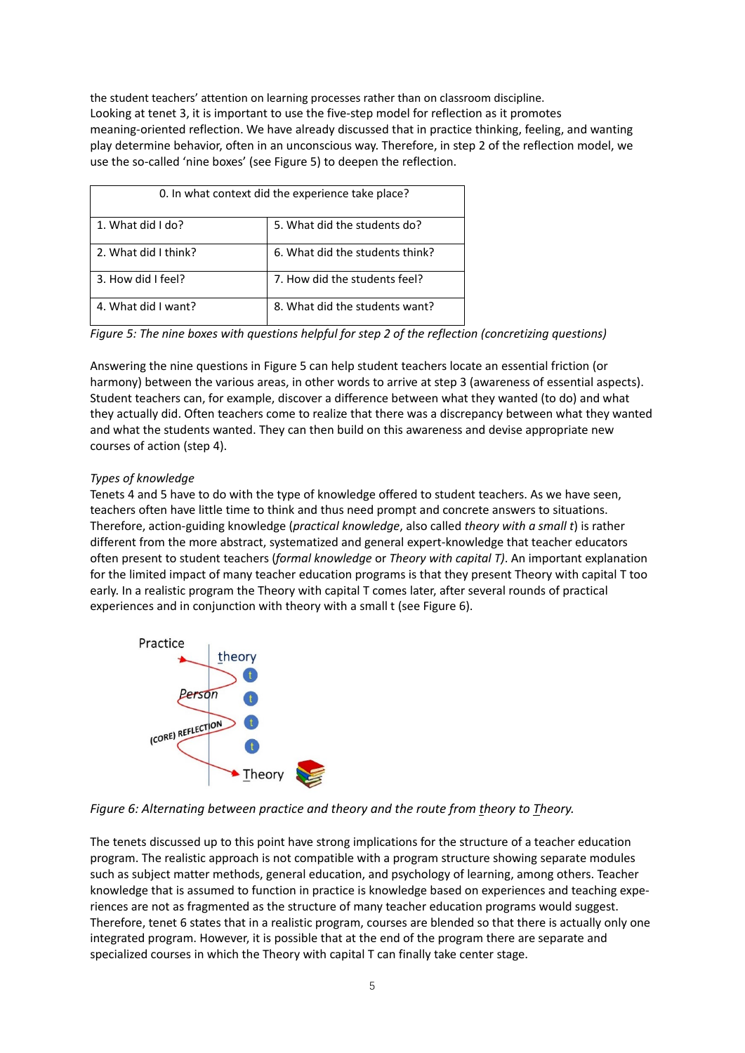the student teachers' attention on learning processes rather than on classroom discipline. Looking at tenet 3, it is important to use the five-step model for reflection as it promotes meaning-oriented reflection. We have already discussed that in practice thinking, feeling, and wanting play determine behavior, often in an unconscious way. Therefore, in step 2 of the reflection model, we use the so-called 'nine boxes' (see Figure 5) to deepen the reflection.

| 0. In what context did the experience take place? |                                 |
|---------------------------------------------------|---------------------------------|
| 1. What did I do?                                 | 5. What did the students do?    |
| 2. What did I think?                              | 6. What did the students think? |
| 3. How did I feel?                                | 7. How did the students feel?   |
| 4. What did I want?                               | 8. What did the students want?  |

*Figure 5: The nine boxes with questions helpful for step 2 of the reflection (concretizing questions)*

Answering the nine questions in Figure 5 can help student teachers locate an essential friction (or harmony) between the various areas, in other words to arrive at step 3 (awareness of essential aspects). Student teachers can, for example, discover a difference between what they wanted (to do) and what they actually did. Often teachers come to realize that there was a discrepancy between what they wanted and what the students wanted. They can then build on this awareness and devise appropriate new courses of action (step 4).

# *Types of knowledge*

Tenets 4 and 5 have to do with the type of knowledge offered to student teachers. As we have seen, teachers often have little time to think and thus need prompt and concrete answers to situations. Therefore, action-guiding knowledge (*practical knowledge*, also called *theory with a small t*) is rather different from the more abstract, systematized and general expert-knowledge that teacher educators often present to student teachers (*formal knowledge* or *Theory with capital T)*. An important explanation for the limited impact of many teacher education programs is that they present Theory with capital T too early. In a realistic program the Theory with capital T comes later, after several rounds of practical experiences and in conjunction with theory with a small t (see Figure 6).





The tenets discussed up to this point have strong implications for the structure of a teacher education program. The realistic approach is not compatible with a program structure showing separate modules such as subject matter methods, general education, and psychology of learning, among others. Teacher knowledge that is assumed to function in practice is knowledge based on experiences and teaching experiences are not as fragmented as the structure of many teacher education programs would suggest. Therefore, tenet 6 states that in a realistic program, courses are blended so that there is actually only one integrated program. However, it is possible that at the end of the program there are separate and specialized courses in which the Theory with capital T can finally take center stage.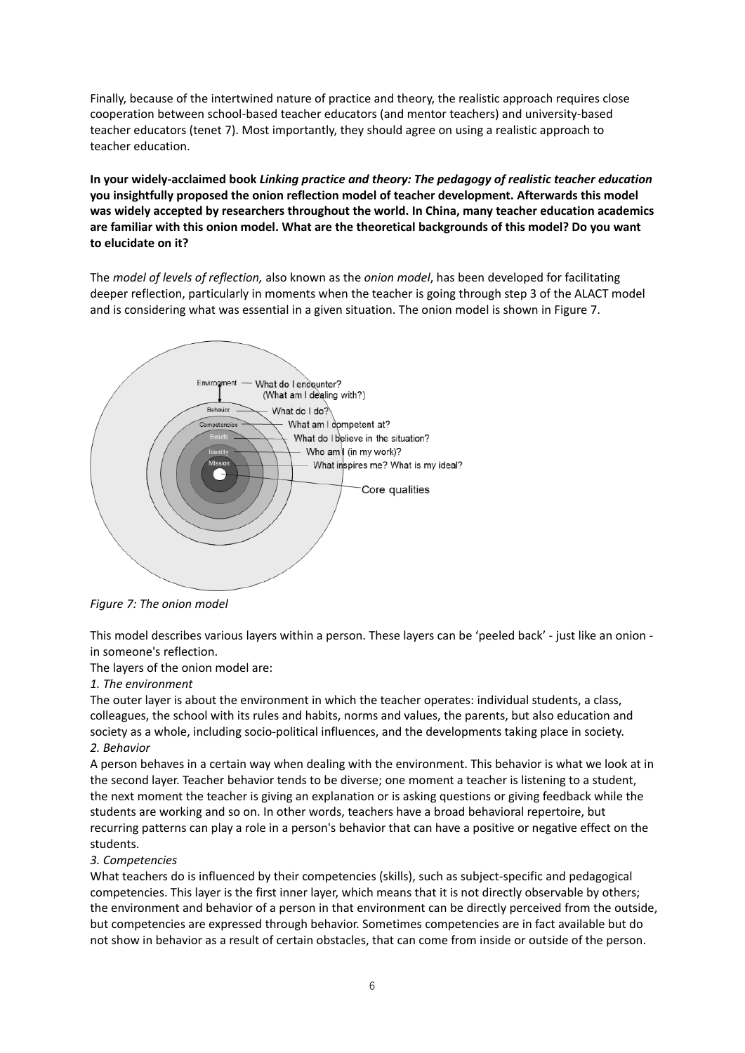Finally, because of the intertwined nature of practice and theory, the realistic approach requires close cooperation between school-based teacher educators (and mentor teachers) and university-based teacher educators (tenet 7). Most importantly, they should agree on using a realistic approach to teacher education.

**In your widely-acclaimed book** *Linking practice and theory: The pedagogy of realistic teacher education* **you insightfully proposed the onion reflection model of teacher development. Afterwards this model was widely accepted by researchers throughout the world. In China, many teacher education academics are familiar with this onion model. What are the theoretical backgrounds of this model? Do you want to elucidate on it?**

The *model of levels of reflection,* also known as the *onion model*, has been developed for facilitating deeper reflection, particularly in moments when the teacher is going through step 3 of the ALACT model and is considering what was essential in a given situation. The onion model is shown in Figure 7.



*Figure 7: The onion model*

This model describes various layers within a person. These layers can be 'peeled back' - just like an onion in someone's reflection.

The layers of the onion model are:

#### *1. The environment*

The outer layer is about the environment in which the teacher operates: individual students, a class, colleagues, the school with its rules and habits, norms and values, the parents, but also education and society as a whole, including socio-political influences, and the developments taking place in society. *2. Behavior*

A person behaves in a certain way when dealing with the environment. This behavior is what we look at in the second layer. Teacher behavior tends to be diverse; one moment a teacher is listening to a student, the next moment the teacher is giving an explanation or is asking questions or giving feedback while the students are working and so on. In other words, teachers have a broad behavioral repertoire, but recurring patterns can play a role in a person's behavior that can have a positive or negative effect on the students.

#### *3. Competencies*

What teachers do is influenced by their competencies (skills), such as subject-specific and pedagogical competencies. This layer is the first inner layer, which means that it is not directly observable by others; the environment and behavior of a person in that environment can be directly perceived from the outside, but competencies are expressed through behavior. Sometimes competencies are in fact available but do not show in behavior as a result of certain obstacles, that can come from inside or outside of the person.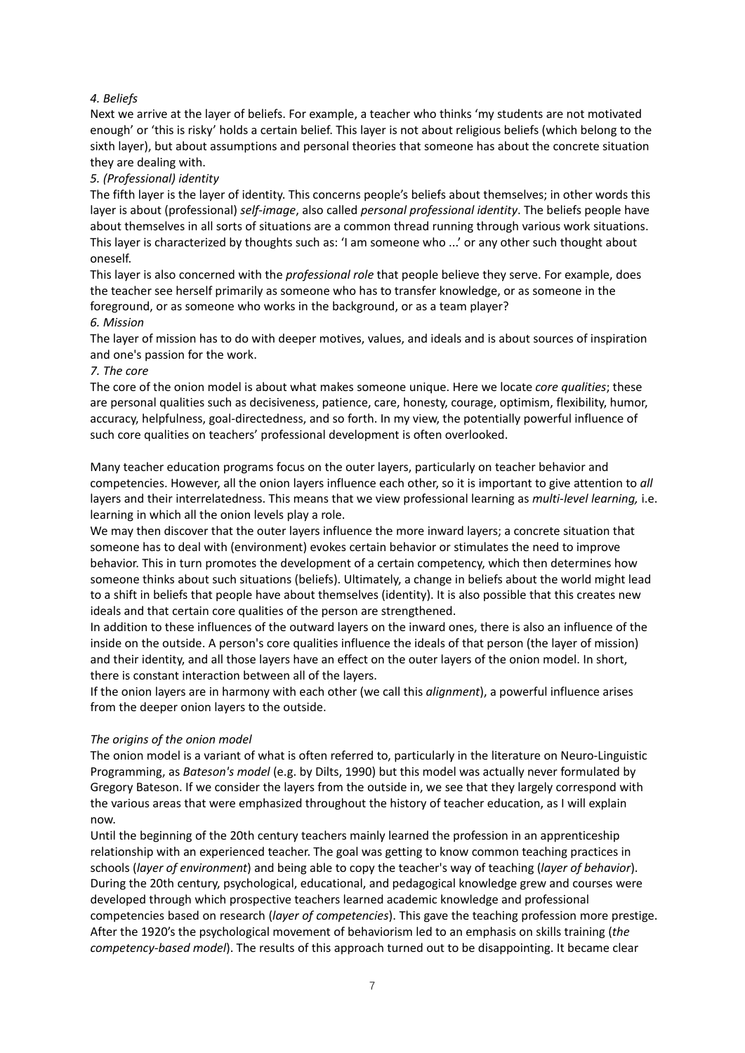# *4. Beliefs*

Next we arrive at the layer of beliefs. For example, a teacher who thinks 'my students are not motivated enough' or 'this is risky' holds a certain belief. This layer is not about religious beliefs (which belong to the sixth layer), but about assumptions and personal theories that someone has about the concrete situation they are dealing with.

# *5. (Professional) identity*

The fifth layer is the layer of identity. This concerns people's beliefs about themselves; in other words this layer is about (professional) *self-image*, also called *personal professional identity*. The beliefs people have about themselves in all sorts of situations are a common thread running through various work situations. This layer is characterized by thoughts such as: 'I am someone who ...' or any other such thought about oneself.

This layer is also concerned with the *professional role* that people believe they serve. For example, does the teacher see herself primarily as someone who has to transfer knowledge, or as someone in the foreground, or as someone who works in the background, or as a team player?

## *6. Mission*

The layer of mission has to do with deeper motives, values, and ideals and is about sources of inspiration and one's passion for the work.

## *7. The core*

The core of the onion model is about what makes someone unique. Here we locate *core qualities*; these are personal qualities such as decisiveness, patience, care, honesty, courage, optimism, flexibility, humor, accuracy, helpfulness, goal-directedness, and so forth. In my view, the potentially powerful influence of such core qualities on teachers' professional development is often overlooked.

Many teacher education programs focus on the outer layers, particularly on teacher behavior and competencies. However, all the onion layers influence each other, so it is important to give attention to *all*  layers and their interrelatedness. This means that we view professional learning as *multi-level learning,* i.e. learning in which all the onion levels play a role.

We may then discover that the outer layers influence the more inward layers; a concrete situation that someone has to deal with (environment) evokes certain behavior or stimulates the need to improve behavior. This in turn promotes the development of a certain competency, which then determines how someone thinks about such situations (beliefs). Ultimately, a change in beliefs about the world might lead to a shift in beliefs that people have about themselves (identity). It is also possible that this creates new ideals and that certain core qualities of the person are strengthened.

In addition to these influences of the outward layers on the inward ones, there is also an influence of the inside on the outside. A person's core qualities influence the ideals of that person (the layer of mission) and their identity, and all those layers have an effect on the outer layers of the onion model. In short, there is constant interaction between all of the layers.

If the onion layers are in harmony with each other (we call this *alignment*), a powerful influence arises from the deeper onion layers to the outside.

## *The origins of the onion model*

The onion model is a variant of what is often referred to, particularly in the literature on Neuro-Linguistic Programming, as *Bateson's model* (e.g. by Dilts, 1990) but this model was actually never formulated by Gregory Bateson. If we consider the layers from the outside in, we see that they largely correspond with the various areas that were emphasized throughout the history of teacher education, as I will explain now.

Until the beginning of the 20th century teachers mainly learned the profession in an apprenticeship relationship with an experienced teacher. The goal was getting to know common teaching practices in schools (*layer of environment*) and being able to copy the teacher's way of teaching (*layer of behavior*). During the 20th century, psychological, educational, and pedagogical knowledge grew and courses were developed through which prospective teachers learned academic knowledge and professional competencies based on research (*layer of competencies*). This gave the teaching profession more prestige. After the 1920's the psychological movement of behaviorism led to an emphasis on skills training (*the competency-based model*). The results of this approach turned out to be disappointing. It became clear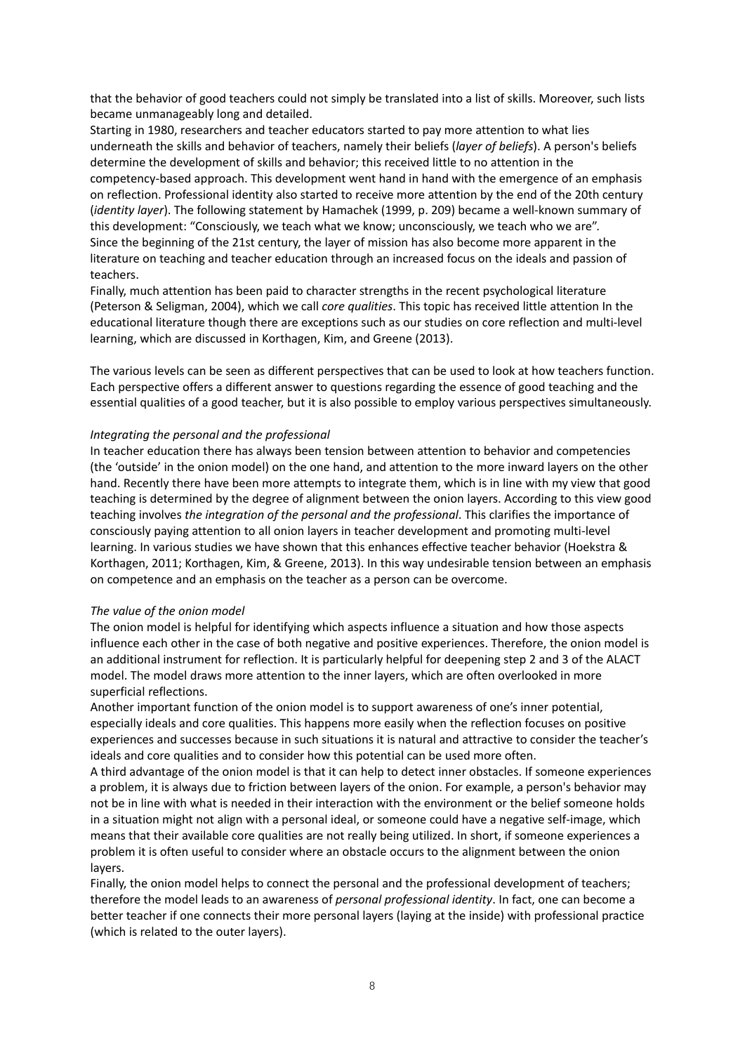that the behavior of good teachers could not simply be translated into a list of skills. Moreover, such lists became unmanageably long and detailed.

Starting in 1980, researchers and teacher educators started to pay more attention to what lies underneath the skills and behavior of teachers, namely their beliefs (*layer of beliefs*). A person's beliefs determine the development of skills and behavior; this received little to no attention in the competency-based approach. This development went hand in hand with the emergence of an emphasis on reflection. Professional identity also started to receive more attention by the end of the 20th century (*identity layer*). The following statement by Hamachek (1999, p. 209) became a well-known summary of this development: "Consciously, we teach what we know; unconsciously, we teach who we are". Since the beginning of the 21st century, the layer of mission has also become more apparent in the literature on teaching and teacher education through an increased focus on the ideals and passion of teachers.

Finally, much attention has been paid to character strengths in the recent psychological literature (Peterson & Seligman, 2004), which we call *core qualities*. This topic has received little attention In the educational literature though there are exceptions such as our studies on core reflection and multi-level learning, which are discussed in Korthagen, Kim, and Greene (2013).

The various levels can be seen as different perspectives that can be used to look at how teachers function. Each perspective offers a different answer to questions regarding the essence of good teaching and the essential qualities of a good teacher, but it is also possible to employ various perspectives simultaneously.

#### *Integrating the personal and the professional*

In teacher education there has always been tension between attention to behavior and competencies (the 'outside' in the onion model) on the one hand, and attention to the more inward layers on the other hand. Recently there have been more attempts to integrate them, which is in line with my view that good teaching is determined by the degree of alignment between the onion layers. According to this view good teaching involves *the integration of the personal and the professional*. This clarifies the importance of consciously paying attention to all onion layers in teacher development and promoting multi-level learning. In various studies we have shown that this enhances effective teacher behavior (Hoekstra & Korthagen, 2011; Korthagen, Kim, & Greene, 2013). In this way undesirable tension between an emphasis on competence and an emphasis on the teacher as a person can be overcome.

#### *The value of the onion model*

The onion model is helpful for identifying which aspects influence a situation and how those aspects influence each other in the case of both negative and positive experiences. Therefore, the onion model is an additional instrument for reflection. It is particularly helpful for deepening step 2 and 3 of the ALACT model. The model draws more attention to the inner layers, which are often overlooked in more superficial reflections.

Another important function of the onion model is to support awareness of one's inner potential, especially ideals and core qualities. This happens more easily when the reflection focuses on positive experiences and successes because in such situations it is natural and attractive to consider the teacher's ideals and core qualities and to consider how this potential can be used more often.

A third advantage of the onion model is that it can help to detect inner obstacles. If someone experiences a problem, it is always due to friction between layers of the onion. For example, a person's behavior may not be in line with what is needed in their interaction with the environment or the belief someone holds in a situation might not align with a personal ideal, or someone could have a negative self-image, which means that their available core qualities are not really being utilized. In short, if someone experiences a problem it is often useful to consider where an obstacle occurs to the alignment between the onion layers.

Finally, the onion model helps to connect the personal and the professional development of teachers; therefore the model leads to an awareness of *personal professional identity*. In fact, one can become a better teacher if one connects their more personal layers (laying at the inside) with professional practice (which is related to the outer layers).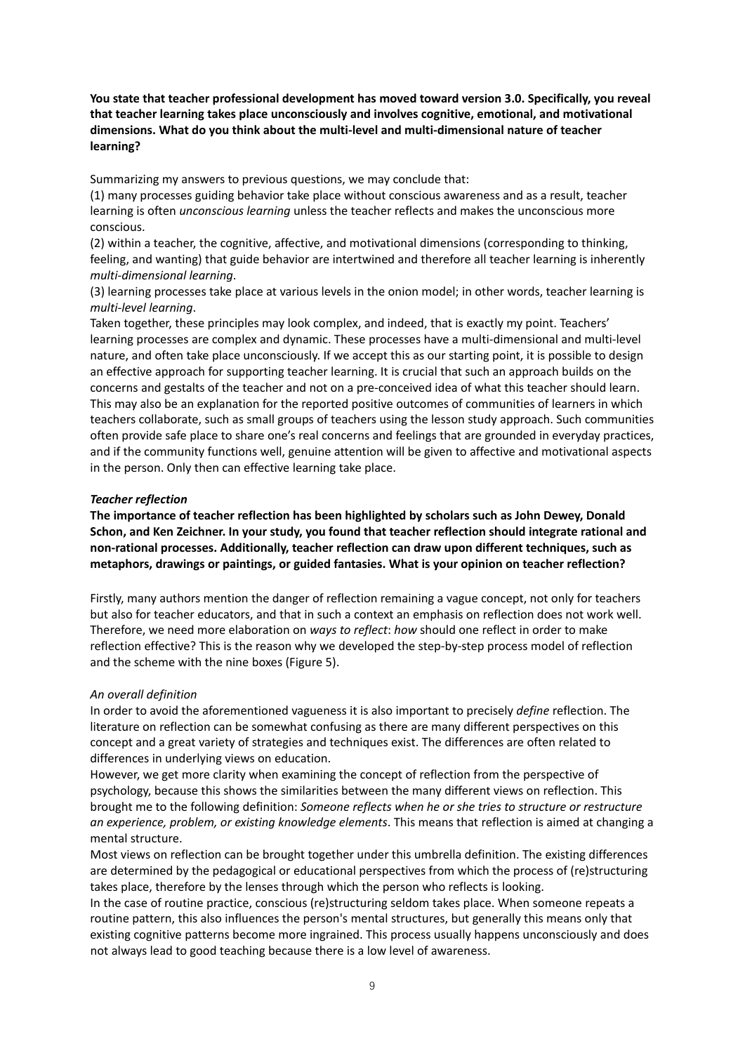**You state that teacher professional development has moved toward version 3.0. Specifically, you reveal that teacher learning takes place unconsciously and involves cognitive, emotional, and motivational dimensions. What do you think about the multi-level and multi-dimensional nature of teacher learning?**

Summarizing my answers to previous questions, we may conclude that:

(1) many processes guiding behavior take place without conscious awareness and as a result, teacher learning is often *unconscious learning* unless the teacher reflects and makes the unconscious more conscious.

(2) within a teacher, the cognitive, affective, and motivational dimensions (corresponding to thinking, feeling, and wanting) that guide behavior are intertwined and therefore all teacher learning is inherently *multi-dimensional learning*.

(3) learning processes take place at various levels in the onion model; in other words, teacher learning is *multi-level learning*.

Taken together, these principles may look complex, and indeed, that is exactly my point. Teachers' learning processes are complex and dynamic. These processes have a multi-dimensional and multi-level nature, and often take place unconsciously. If we accept this as our starting point, it is possible to design an effective approach for supporting teacher learning. It is crucial that such an approach builds on the concerns and gestalts of the teacher and not on a pre-conceived idea of what this teacher should learn. This may also be an explanation for the reported positive outcomes of communities of learners in which teachers collaborate, such as small groups of teachers using the lesson study approach. Such communities often provide safe place to share one's real concerns and feelings that are grounded in everyday practices, and if the community functions well, genuine attention will be given to affective and motivational aspects in the person. Only then can effective learning take place.

#### *Teacher reflection*

**The importance of teacher reflection has been highlighted by scholars such as John Dewey, Donald Schon, and Ken Zeichner. In your study, you found that teacher reflection should integrate rational and non-rational processes. Additionally, teacher reflection can draw upon different techniques, such as metaphors, drawings or paintings, or guided fantasies. What is your opinion on teacher reflection?**

Firstly, many authors mention the danger of reflection remaining a vague concept, not only for teachers but also for teacher educators, and that in such a context an emphasis on reflection does not work well. Therefore, we need more elaboration on *ways to reflect*: *how* should one reflect in order to make reflection effective? This is the reason why we developed the step-by-step process model of reflection and the scheme with the nine boxes (Figure 5).

#### *An overall definition*

In order to avoid the aforementioned vagueness it is also important to precisely *define* reflection. The literature on reflection can be somewhat confusing as there are many different perspectives on this concept and a great variety of strategies and techniques exist. The differences are often related to differences in underlying views on education.

However, we get more clarity when examining the concept of reflection from the perspective of psychology, because this shows the similarities between the many different views on reflection. This brought me to the following definition: *Someone reflects when he or she tries to structure or restructure an experience, problem, or existing knowledge elements*. This means that reflection is aimed at changing a mental structure.

Most views on reflection can be brought together under this umbrella definition. The existing differences are determined by the pedagogical or educational perspectives from which the process of (re)structuring takes place, therefore by the lenses through which the person who reflects is looking.

In the case of routine practice, conscious (re)structuring seldom takes place. When someone repeats a routine pattern, this also influences the person's mental structures, but generally this means only that existing cognitive patterns become more ingrained. This process usually happens unconsciously and does not always lead to good teaching because there is a low level of awareness.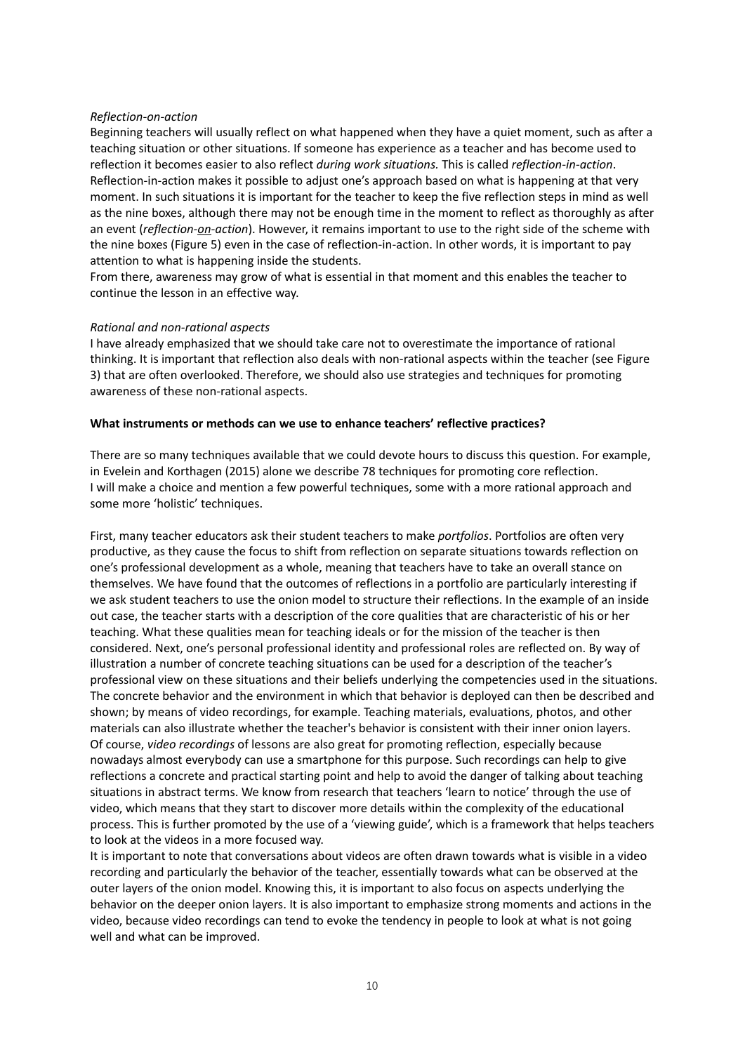#### *Reflection-on-action*

Beginning teachers will usually reflect on what happened when they have a quiet moment, such as after a teaching situation or other situations. If someone has experience as a teacher and has become used to reflection it becomes easier to also reflect *during work situations.* This is called *reflection-in-action*. Reflection-in-action makes it possible to adjust one's approach based on what is happening at that very moment. In such situations it is important for the teacher to keep the five reflection steps in mind as well as the nine boxes, although there may not be enough time in the moment to reflect as thoroughly as after an event (*reflection-on-action*). However, it remains important to use to the right side of the scheme with the nine boxes (Figure 5) even in the case of reflection-in-action. In other words, it is important to pay attention to what is happening inside the students.

From there, awareness may grow of what is essential in that moment and this enables the teacher to continue the lesson in an effective way.

#### *Rational and non-rational aspects*

I have already emphasized that we should take care not to overestimate the importance of rational thinking. It is important that reflection also deals with non-rational aspects within the teacher (see Figure 3) that are often overlooked. Therefore, we should also use strategies and techniques for promoting awareness of these non-rational aspects.

#### **What instruments or methods can we use to enhance teachers' reflective practices?**

There are so many techniques available that we could devote hours to discuss this question. For example, in Evelein and Korthagen (2015) alone we describe 78 techniques for promoting core reflection. I will make a choice and mention a few powerful techniques, some with a more rational approach and some more 'holistic' techniques.

First, many teacher educators ask their student teachers to make *portfolios*. Portfolios are often very productive, as they cause the focus to shift from reflection on separate situations towards reflection on one's professional development as a whole, meaning that teachers have to take an overall stance on themselves. We have found that the outcomes of reflections in a portfolio are particularly interesting if we ask student teachers to use the onion model to structure their reflections. In the example of an inside out case, the teacher starts with a description of the core qualities that are characteristic of his or her teaching. What these qualities mean for teaching ideals or for the mission of the teacher is then considered. Next, one's personal professional identity and professional roles are reflected on. By way of illustration a number of concrete teaching situations can be used for a description of the teacher's professional view on these situations and their beliefs underlying the competencies used in the situations. The concrete behavior and the environment in which that behavior is deployed can then be described and shown; by means of video recordings, for example. Teaching materials, evaluations, photos, and other materials can also illustrate whether the teacher's behavior is consistent with their inner onion layers. Of course, *video recordings* of lessons are also great for promoting reflection, especially because nowadays almost everybody can use a smartphone for this purpose. Such recordings can help to give reflections a concrete and practical starting point and help to avoid the danger of talking about teaching situations in abstract terms. We know from research that teachers 'learn to notice' through the use of video, which means that they start to discover more details within the complexity of the educational process. This is further promoted by the use of a 'viewing guide', which is a framework that helps teachers to look at the videos in a more focused way.

It is important to note that conversations about videos are often drawn towards what is visible in a video recording and particularly the behavior of the teacher, essentially towards what can be observed at the outer layers of the onion model. Knowing this, it is important to also focus on aspects underlying the behavior on the deeper onion layers. It is also important to emphasize strong moments and actions in the video, because video recordings can tend to evoke the tendency in people to look at what is not going well and what can be improved.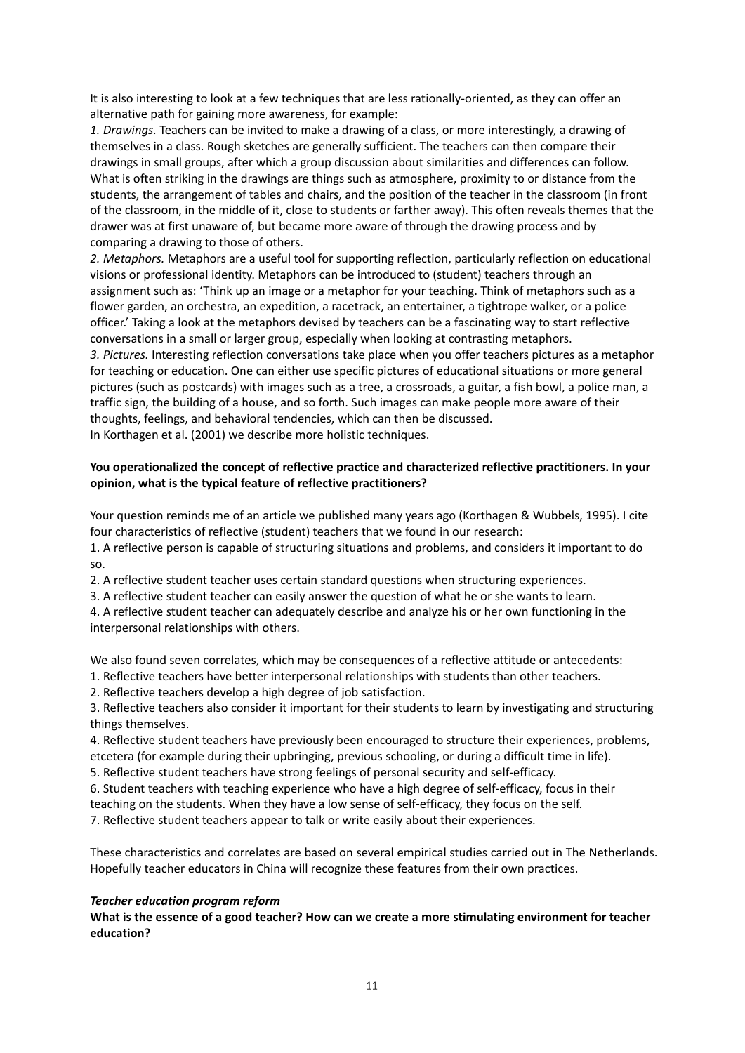It is also interesting to look at a few techniques that are less rationally-oriented, as they can offer an alternative path for gaining more awareness, for example:

*1. Drawings.* Teachers can be invited to make a drawing of a class, or more interestingly, a drawing of themselves in a class. Rough sketches are generally sufficient. The teachers can then compare their drawings in small groups, after which a group discussion about similarities and differences can follow. What is often striking in the drawings are things such as atmosphere, proximity to or distance from the students, the arrangement of tables and chairs, and the position of the teacher in the classroom (in front of the classroom, in the middle of it, close to students or farther away). This often reveals themes that the drawer was at first unaware of, but became more aware of through the drawing process and by comparing a drawing to those of others.

*2. Metaphors.* Metaphors are a useful tool for supporting reflection, particularly reflection on educational visions or professional identity. Metaphors can be introduced to (student) teachers through an assignment such as: 'Think up an image or a metaphor for your teaching. Think of metaphors such as a flower garden, an orchestra, an expedition, a racetrack, an entertainer, a tightrope walker, or a police officer.' Taking a look at the metaphors devised by teachers can be a fascinating way to start reflective conversations in a small or larger group, especially when looking at contrasting metaphors.

*3. Pictures.* Interesting reflection conversations take place when you offer teachers pictures as a metaphor for teaching or education. One can either use specific pictures of educational situations or more general pictures (such as postcards) with images such as a tree, a crossroads, a guitar, a fish bowl, a police man, a traffic sign, the building of a house, and so forth. Such images can make people more aware of their thoughts, feelings, and behavioral tendencies, which can then be discussed.

In Korthagen et al. (2001) we describe more holistic techniques.

# **You operationalized the concept of reflective practice and characterized reflective practitioners. In your opinion, what is the typical feature of reflective practitioners?**

Your question reminds me of an article we published many years ago (Korthagen & Wubbels, 1995). I cite four characteristics of reflective (student) teachers that we found in our research:

1. A reflective person is capable of structuring situations and problems, and considers it important to do so.

2. A reflective student teacher uses certain standard questions when structuring experiences.

3. A reflective student teacher can easily answer the question of what he or she wants to learn.

4. A reflective student teacher can adequately describe and analyze his or her own functioning in the interpersonal relationships with others.

We also found seven correlates, which may be consequences of a reflective attitude or antecedents:

1. Reflective teachers have better interpersonal relationships with students than other teachers.

2. Reflective teachers develop a high degree of job satisfaction.

3. Reflective teachers also consider it important for their students to learn by investigating and structuring things themselves.

4. Reflective student teachers have previously been encouraged to structure their experiences, problems, etcetera (for example during their upbringing, previous schooling, or during a difficult time in life).

5. Reflective student teachers have strong feelings of personal security and self-efficacy.

6. Student teachers with teaching experience who have a high degree of self-efficacy, focus in their

teaching on the students. When they have a low sense of self-efficacy, they focus on the self.

7. Reflective student teachers appear to talk or write easily about their experiences.

These characteristics and correlates are based on several empirical studies carried out in The Netherlands. Hopefully teacher educators in China will recognize these features from their own practices.

## *Teacher education program reform*

**What is the essence of a good teacher? How can we create a more stimulating environment for teacher education?**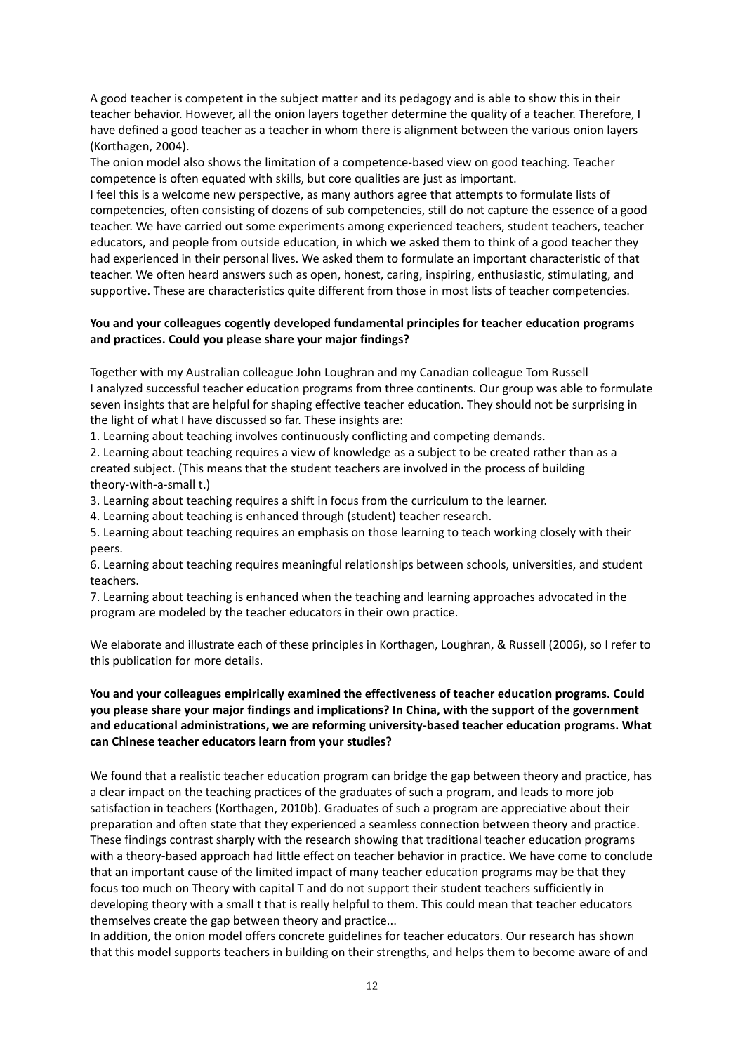A good teacher is competent in the subject matter and its pedagogy and is able to show this in their teacher behavior. However, all the onion layers together determine the quality of a teacher. Therefore, I have defined a good teacher as a teacher in whom there is alignment between the various onion layers (Korthagen, 2004).

The onion model also shows the limitation of a competence-based view on good teaching. Teacher competence is often equated with skills, but core qualities are just as important.

I feel this is a welcome new perspective, as many authors agree that attempts to formulate lists of competencies, often consisting of dozens of sub competencies, still do not capture the essence of a good teacher. We have carried out some experiments among experienced teachers, student teachers, teacher educators, and people from outside education, in which we asked them to think of a good teacher they had experienced in their personal lives. We asked them to formulate an important characteristic of that teacher. We often heard answers such as open, honest, caring, inspiring, enthusiastic, stimulating, and supportive. These are characteristics quite different from those in most lists of teacher competencies.

## **You and your colleagues cogently developed fundamental principles for teacher education programs and practices. Could you please share your major findings?**

Together with my Australian colleague John Loughran and my Canadian colleague Tom Russell I analyzed successful teacher education programs from three continents. Our group was able to formulate seven insights that are helpful for shaping effective teacher education. They should not be surprising in the light of what I have discussed so far. These insights are:

1. Learning about teaching involves continuously conflicting and competing demands.

2. Learning about teaching requires a view of knowledge as a subject to be created rather than as a created subject. (This means that the student teachers are involved in the process of building theory-with-a-small t.)

3. Learning about teaching requires a shift in focus from the curriculum to the learner.

4. Learning about teaching is enhanced through (student) teacher research.

5. Learning about teaching requires an emphasis on those learning to teach working closely with their peers.

6. Learning about teaching requires meaningful relationships between schools, universities, and student teachers.

7. Learning about teaching is enhanced when the teaching and learning approaches advocated in the program are modeled by the teacher educators in their own practice.

We elaborate and illustrate each of these principles in Korthagen, Loughran, & Russell (2006), so I refer to this publication for more details.

# **You and your colleagues empirically examined the effectiveness of teacher education programs. Could you please share your major findings and implications? In China, with the support of the government and educational administrations, we are reforming university-based teacher education programs. What can Chinese teacher educators learn from your studies?**

We found that a realistic teacher education program can bridge the gap between theory and practice, has a clear impact on the teaching practices of the graduates of such a program, and leads to more job satisfaction in teachers (Korthagen, 2010b). Graduates of such a program are appreciative about their preparation and often state that they experienced a seamless connection between theory and practice. These findings contrast sharply with the research showing that traditional teacher education programs with a theory-based approach had little effect on teacher behavior in practice. We have come to conclude that an important cause of the limited impact of many teacher education programs may be that they focus too much on Theory with capital T and do not support their student teachers sufficiently in developing theory with a small t that is really helpful to them. This could mean that teacher educators themselves create the gap between theory and practice...

In addition, the onion model offers concrete guidelines for teacher educators. Our research has shown that this model supports teachers in building on their strengths, and helps them to become aware of and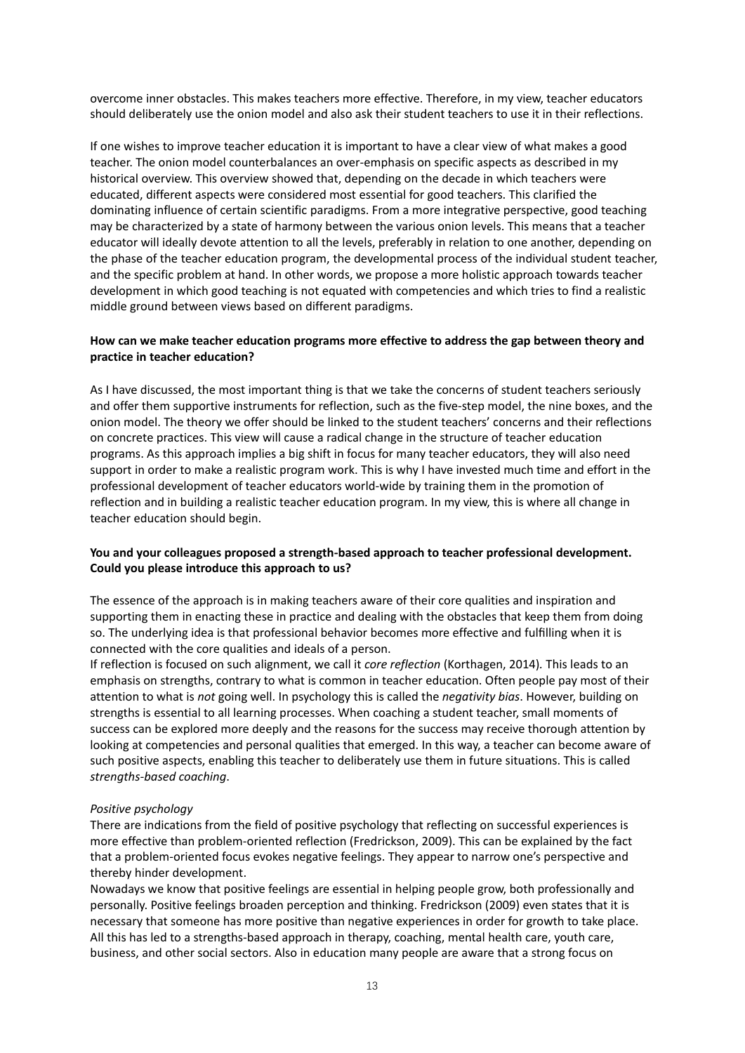overcome inner obstacles. This makes teachers more effective. Therefore, in my view, teacher educators should deliberately use the onion model and also ask their student teachers to use it in their reflections.

If one wishes to improve teacher education it is important to have a clear view of what makes a good teacher. The onion model counterbalances an over-emphasis on specific aspects as described in my historical overview. This overview showed that, depending on the decade in which teachers were educated, different aspects were considered most essential for good teachers. This clarified the dominating influence of certain scientific paradigms. From a more integrative perspective, good teaching may be characterized by a state of harmony between the various onion levels. This means that a teacher educator will ideally devote attention to all the levels, preferably in relation to one another, depending on the phase of the teacher education program, the developmental process of the individual student teacher, and the specific problem at hand. In other words, we propose a more holistic approach towards teacher development in which good teaching is not equated with competencies and which tries to find a realistic middle ground between views based on different paradigms.

## **How can we make teacher education programs more effective to address the gap between theory and practice in teacher education?**

As I have discussed, the most important thing is that we take the concerns of student teachers seriously and offer them supportive instruments for reflection, such as the five-step model, the nine boxes, and the onion model. The theory we offer should be linked to the student teachers' concerns and their reflections on concrete practices. This view will cause a radical change in the structure of teacher education programs. As this approach implies a big shift in focus for many teacher educators, they will also need support in order to make a realistic program work. This is why I have invested much time and effort in the professional development of teacher educators world-wide by training them in the promotion of reflection and in building a realistic teacher education program. In my view, this is where all change in teacher education should begin.

## **You and your colleagues proposed a strength-based approach to teacher professional development. Could you please introduce this approach to us?**

The essence of the approach is in making teachers aware of their core qualities and inspiration and supporting them in enacting these in practice and dealing with the obstacles that keep them from doing so. The underlying idea is that professional behavior becomes more effective and fulfilling when it is connected with the core qualities and ideals of a person.

If reflection is focused on such alignment, we call it *core reflection* (Korthagen, 2014)*.* This leads to an emphasis on strengths, contrary to what is common in teacher education. Often people pay most of their attention to what is *not* going well. In psychology this is called the *negativity bias*. However, building on strengths is essential to all learning processes. When coaching a student teacher, small moments of success can be explored more deeply and the reasons for the success may receive thorough attention by looking at competencies and personal qualities that emerged. In this way, a teacher can become aware of such positive aspects, enabling this teacher to deliberately use them in future situations. This is called *strengths-based coaching*.

#### *Positive psychology*

There are indications from the field of positive psychology that reflecting on successful experiences is more effective than problem-oriented reflection (Fredrickson, 2009). This can be explained by the fact that a problem-oriented focus evokes negative feelings. They appear to narrow one's perspective and thereby hinder development.

Nowadays we know that positive feelings are essential in helping people grow, both professionally and personally. Positive feelings broaden perception and thinking. Fredrickson (2009) even states that it is necessary that someone has more positive than negative experiences in order for growth to take place. All this has led to a strengths-based approach in therapy, coaching, mental health care, youth care, business, and other social sectors. Also in education many people are aware that a strong focus on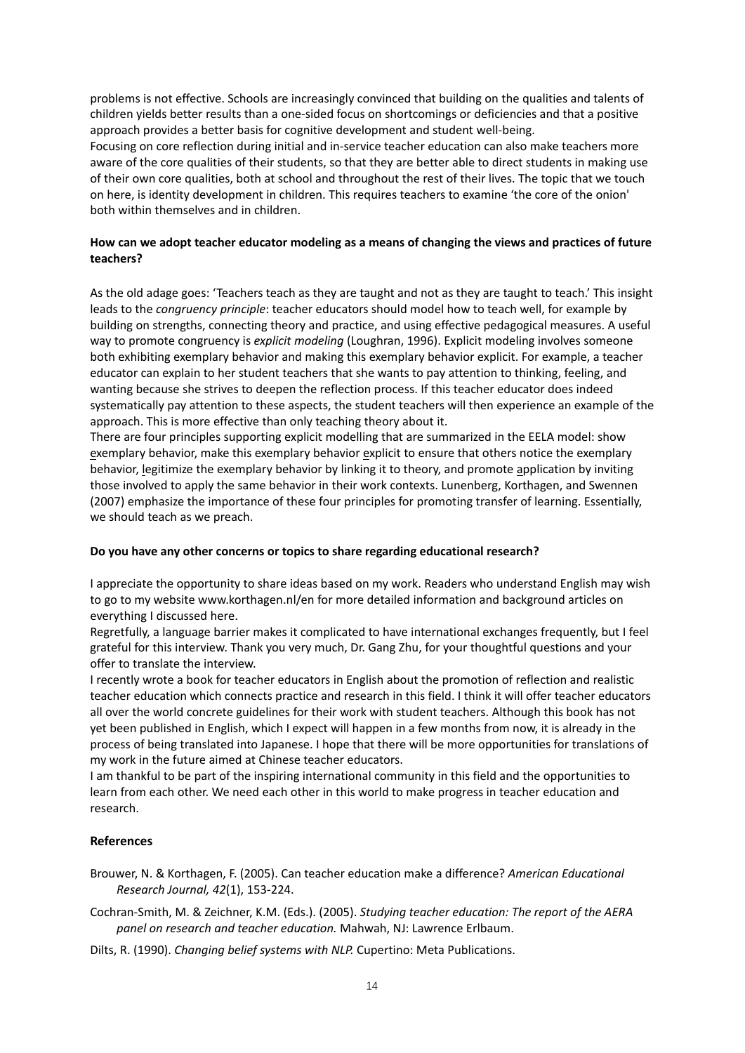problems is not effective. Schools are increasingly convinced that building on the qualities and talents of children yields better results than a one-sided focus on shortcomings or deficiencies and that a positive approach provides a better basis for cognitive development and student well-being. Focusing on core reflection during initial and in-service teacher education can also make teachers more aware of the core qualities of their students, so that they are better able to direct students in making use of their own core qualities, both at school and throughout the rest of their lives. The topic that we touch on here, is identity development in children. This requires teachers to examine 'the core of the onion' both within themselves and in children.

## **How can we adopt teacher educator modeling as a means of changing the views and practices of future teachers?**

As the old adage goes: 'Teachers teach as they are taught and not as they are taught to teach.' This insight leads to the *congruency principle*: teacher educators should model how to teach well, for example by building on strengths, connecting theory and practice, and using effective pedagogical measures. A useful way to promote congruency is *explicit modeling* (Loughran, 1996). Explicit modeling involves someone both exhibiting exemplary behavior and making this exemplary behavior explicit. For example, a teacher educator can explain to her student teachers that she wants to pay attention to thinking, feeling, and wanting because she strives to deepen the reflection process. If this teacher educator does indeed systematically pay attention to these aspects, the student teachers will then experience an example of the approach. This is more effective than only teaching theory about it.

There are four principles supporting explicit modelling that are summarized in the EELA model: show exemplary behavior, make this exemplary behavior explicit to ensure that others notice the exemplary behavior, legitimize the exemplary behavior by linking it to theory, and promote application by inviting those involved to apply the same behavior in their work contexts. Lunenberg, Korthagen, and Swennen (2007) emphasize the importance of these four principles for promoting transfer of learning. Essentially, we should teach as we preach.

#### **Do you have any other concerns or topics to share regarding educational research?**

I appreciate the opportunity to share ideas based on my work. Readers who understand English may wish to go to my website [www.korthagen.nl/en](http://www.korthagen.nl/en) for more detailed information and background articles on everything I discussed here.

Regretfully, a language barrier makes it complicated to have international exchanges frequently, but I feel grateful for this interview. Thank you very much, Dr. Gang Zhu, for your thoughtful questions and your offer to translate the interview.

I recently wrote a book for teacher educators in English about the promotion of reflection and realistic teacher education which connects practice and research in this field. I think it will offer teacher educators all over the world concrete guidelines for their work with student teachers. Although this book has not yet been published in English, which I expect will happen in a few months from now, it is already in the process of being translated into Japanese. I hope that there will be more opportunities for translations of my work in the future aimed at Chinese teacher educators.

I am thankful to be part of the inspiring international community in this field and the opportunities to learn from each other. We need each other in this world to make progress in teacher education and research.

#### **References**

- Brouwer, N. & Korthagen, F. (2005). Can teacher education make a difference? *American Educational Research Journal, 42*(1), 153-224.
- Cochran-Smith, M. & Zeichner, K.M. (Eds.). (2005). *Studying teacher education: The report of the AERA panel on research and teacher education.* Mahwah, NJ: Lawrence Erlbaum.
- Dilts, R. (1990). *Changing belief systems with NLP.* Cupertino: Meta Publications.